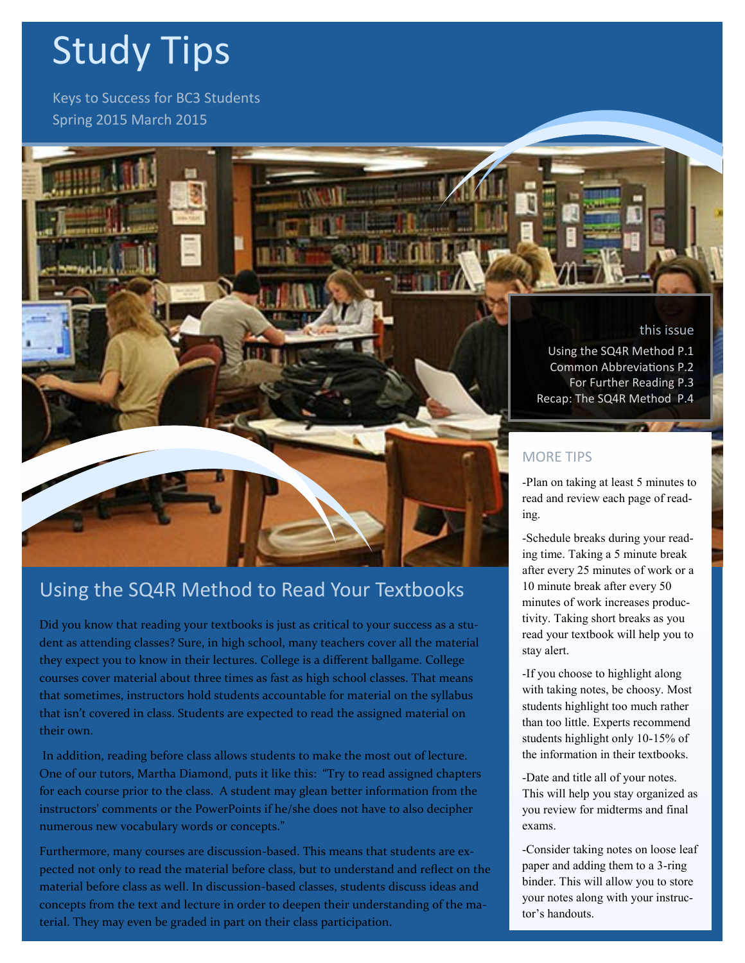# Study Tips

Keys to Success for BC3 Students Spring 2015 March 2015

### this issue

Using the SQ4R Method P.1 Common Abbreviations P.2 For Further Reading P.3 Recap: The SQ4R Method P.4

### MORE TIPS

-Plan on taking at least 5 minutes to read and review each page of reading.

-Schedule breaks during your reading time. Taking a 5 minute break after every 25 minutes of work or a 10 minute break after every 50 minutes of work increases productivity. Taking short breaks as you read your textbook will help you to stay alert.

-If you choose to highlight along with taking notes, be choosy. Most students highlight too much rather than too little. Experts recommend students highlight only 10-15% of the information in their textbooks.

-Date and title all of your notes. This will help you stay organized as you review for midterms and final exams.

-Consider taking notes on loose leaf paper and adding them to a 3-ring binder. This will allow you to store your notes along with your instructor's handouts.

# Using the SQ4R Method to Read Your Textbooks

Did you know that reading your textbooks is just as critical to your success as a student as attending classes? Sure, in high school, many teachers cover all the material they expect you to know in their lectures. College is a different ballgame. College courses cover material about three times as fast as high school classes. That means that sometimes, instructors hold students accountable for material on the syllabus that isn't covered in class. Students are expected to read the assigned material on their own.

In addition, reading before class allows students to make the most out of lecture. One of our tutors, Martha Diamond, puts it like this: "Try to read assigned chapters for each course prior to the class. A student may glean better information from the instructors' comments or the PowerPoints if he/she does not have to also decipher numerous new vocabulary words or concepts."

Furthermore, many courses are discussion-based. This means that students are expected not only to read the material before class, but to understand and reflect on the material before class as well. In discussion-based classes, students discuss ideas and concepts from the text and lecture in order to deepen their understanding of the material. They may even be graded in part on their class participation.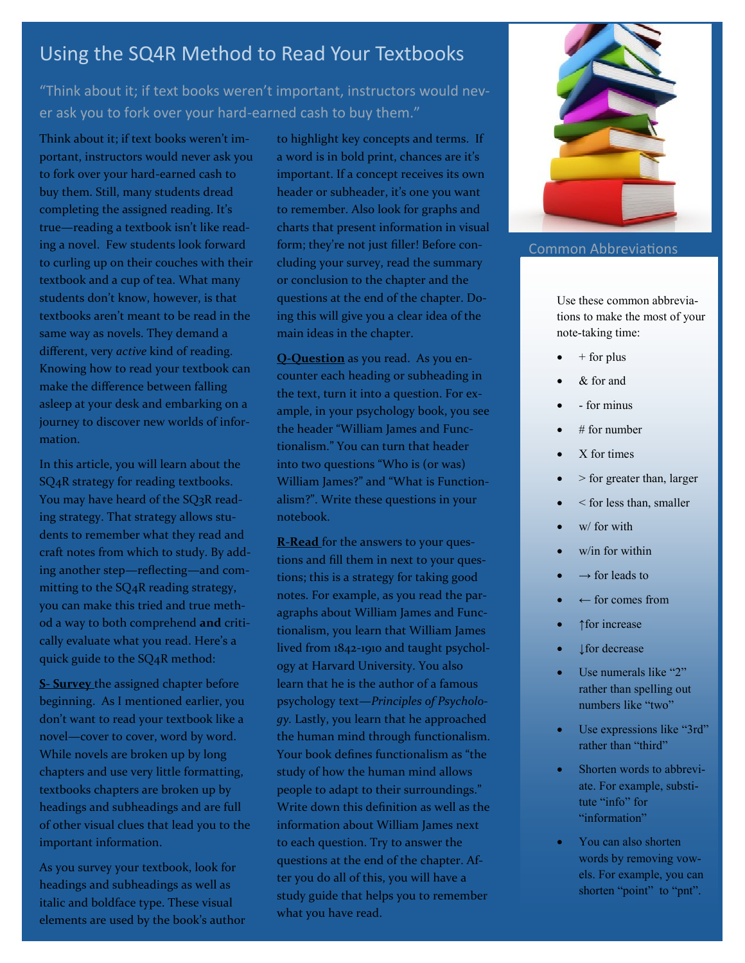# Using the SQ4R Method to Read Your Textbooks

## "Think about it; if text books weren't important, instructors would never ask you to fork over your hard-earned cash to buy them."

Think about it; if text books weren't important, instructors would never ask you to fork over your hard-earned cash to buy them. Still, many students dread completing the assigned reading. It's true—reading a textbook isn't like reading a novel. Few students look forward to curling up on their couches with their textbook and a cup of tea. What many students don't know, however, is that textbooks aren't meant to be read in the same way as novels. They demand a different, very *active* kind of reading. Knowing how to read your textbook can make the difference between falling asleep at your desk and embarking on a journey to discover new worlds of information.

In this article, you will learn about the SQ4R strategy for reading textbooks. You may have heard of the SQ3R reading strategy. That strategy allows students to remember what they read and craft notes from which to study. By adding another step—reflecting—and committing to the SQ4R reading strategy, you can make this tried and true method a way to both comprehend **and** critically evaluate what you read. Here's a quick guide to the SQ4R method:

**S- Survey** the assigned chapter before beginning. As I mentioned earlier, you don't want to read your textbook like a novel—cover to cover, word by word. While novels are broken up by long chapters and use very little formatting, textbooks chapters are broken up by headings and subheadings and are full of other visual clues that lead you to the important information.

As you survey your textbook, look for headings and subheadings as well as italic and boldface type. These visual elements are used by the book's author to highlight key concepts and terms. If a word is in bold print, chances are it's important. If a concept receives its own header or subheader, it's one you want to remember. Also look for graphs and charts that present information in visual form; they're not just filler! Before concluding your survey, read the summary or conclusion to the chapter and the questions at the end of the chapter. Doing this will give you a clear idea of the main ideas in the chapter.

**Q-Question** as you read. As you encounter each heading or subheading in the text, turn it into a question. For example, in your psychology book, you see the header "William James and Functionalism." You can turn that header into two questions "Who is (or was) William James?" and "What is Functionalism?". Write these questions in your notebook.

**R-Read** for the answers to your questions and fill them in next to your questions; this is a strategy for taking good notes. For example, as you read the paragraphs about William James and Functionalism, you learn that William James lived from 1842-1910 and taught psychology at Harvard University. You also learn that he is the author of a famous psychology text—*Principles of Psychology.* Lastly, you learn that he approached the human mind through functionalism. Your book defines functionalism as "the study of how the human mind allows people to adapt to their surroundings." Write down this definition as well as the information about William James next to each question. Try to answer the questions at the end of the chapter. After you do all of this, you will have a study guide that helps you to remember what you have read.



#### Common Abbreviations

Use these common abbreviations to make the most of your note-taking time:

- + for plus
- & for and
- for minus
- # for number
- X for times
- > for greater than, larger
- < for less than, smaller
- w/ for with
- w/in for within
- $\rightarrow$  for leads to
- $\leftarrow$  for comes from
- ↑for increase
- ↓for decrease
- Use numerals like "2" rather than spelling out numbers like "two"
- Use expressions like "3rd" rather than "third"
- Shorten words to abbreviate. For example, substitute "info" for "information"
- You can also shorten words by removing vowels. For example, you can shorten "point" to "pnt".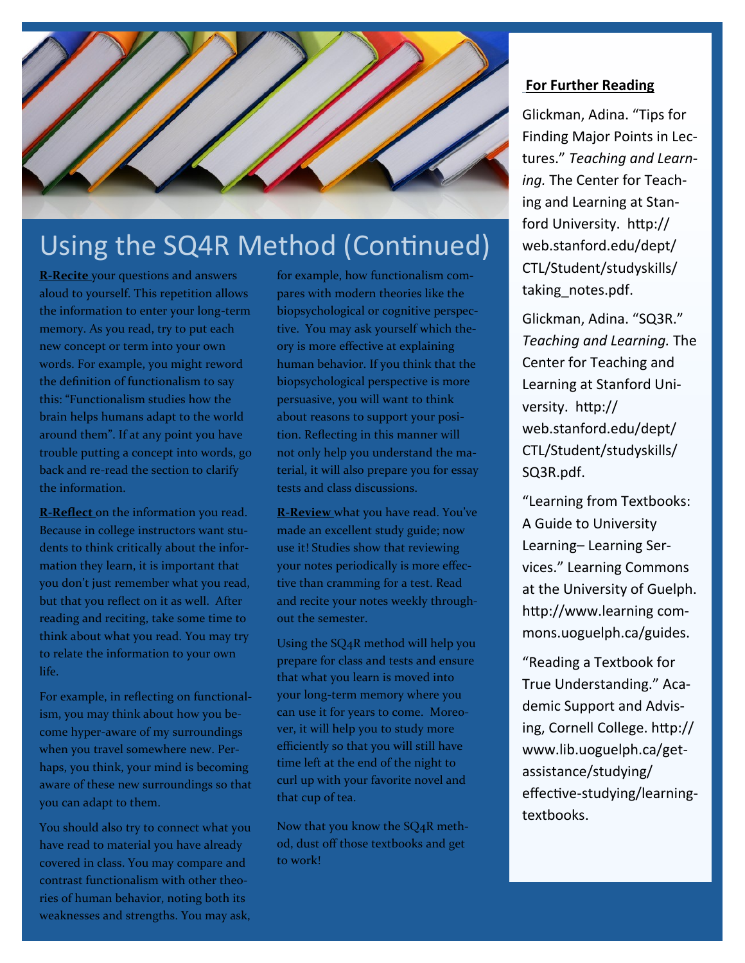

# Using the SQ4R Method (Continued)

**R-Recite** your questions and answers aloud to yourself. This repetition allows the information to enter your long-term memory. As you read, try to put each new concept or term into your own words. For example, you might reword the definition of functionalism to say this: "Functionalism studies how the brain helps humans adapt to the world around them". If at any point you have trouble putting a concept into words, go back and re-read the section to clarify the information.

**R-Reflect** on the information you read. Because in college instructors want students to think critically about the information they learn, it is important that you don't just remember what you read, but that you reflect on it as well. After reading and reciting, take some time to think about what you read. You may try to relate the information to your own life.

For example, in reflecting on functionalism, you may think about how you become hyper-aware of my surroundings when you travel somewhere new. Perhaps, you think, your mind is becoming aware of these new surroundings so that you can adapt to them.

You should also try to connect what you have read to material you have already covered in class. You may compare and contrast functionalism with other theories of human behavior, noting both its weaknesses and strengths. You may ask,

for example, how functionalism compares with modern theories like the biopsychological or cognitive perspective. You may ask yourself which theory is more effective at explaining human behavior. If you think that the biopsychological perspective is more persuasive, you will want to think about reasons to support your position. Reflecting in this manner will not only help you understand the material, it will also prepare you for essay tests and class discussions.

**R-Review** what you have read. You've made an excellent study guide; now use it! Studies show that reviewing your notes periodically is more effective than cramming for a test. Read and recite your notes weekly throughout the semester.

Using the SQ4R method will help you prepare for class and tests and ensure that what you learn is moved into your long-term memory where you can use it for years to come. Moreover, it will help you to study more efficiently so that you will still have time left at the end of the night to curl up with your favorite novel and that cup of tea.

Now that you know the SQ4R method, dust off those textbooks and get to work!

### **For Further Reading**

Glickman, Adina. "Tips for Finding Major Points in Lectures." *Teaching and Learning.* The Center for Teaching and Learning at Stanford University. http:// web.stanford.edu/dept/ CTL/Student/studyskills/ taking notes.pdf.

Glickman, Adina. "SQ3R." *Teaching and Learning.* The Center for Teaching and Learning at Stanford University. http:// web.stanford.edu/dept/ CTL/Student/studyskills/ SQ3R.pdf.

"Learning from Textbooks: A Guide to University Learning– Learning Services." Learning Commons at the University of Guelph. http://www.learning commons.uoguelph.ca/guides.

"Reading a Textbook for True Understanding." Academic Support and Advising, Cornell College. http:// www.lib.uoguelph.ca/getassistance/studying/ effective-studying/learningtextbooks.